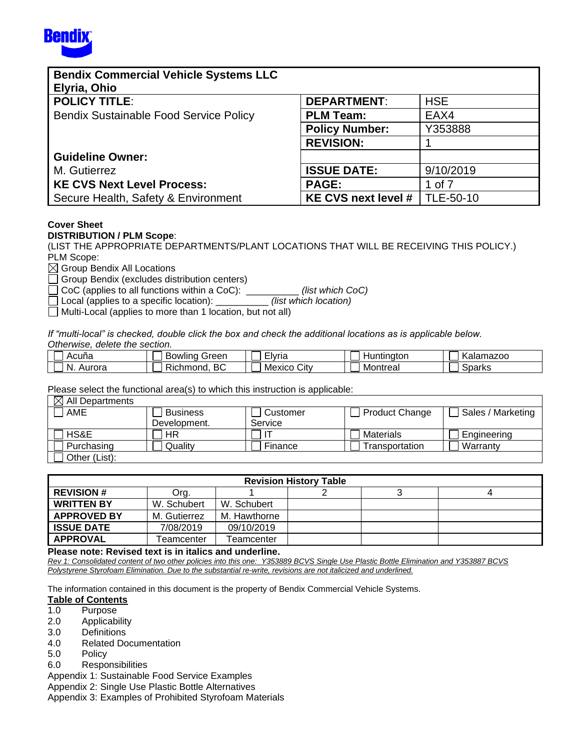

| <b>Bendix Commercial Vehicle Systems LLC</b><br>Elyria, Ohio |                       |            |
|--------------------------------------------------------------|-----------------------|------------|
| <b>POLICY TITLE:</b>                                         | <b>DEPARTMENT:</b>    | <b>HSE</b> |
| <b>Bendix Sustainable Food Service Policy</b>                | <b>PLM Team:</b>      | EAX4       |
|                                                              | <b>Policy Number:</b> | Y353888    |
|                                                              | <b>REVISION:</b>      |            |
| <b>Guideline Owner:</b>                                      |                       |            |
| M. Gutierrez                                                 | <b>ISSUE DATE:</b>    | 9/10/2019  |
| <b>KE CVS Next Level Process:</b>                            | <b>PAGE:</b>          | 1 of 7     |
| Secure Health, Safety & Environment                          | KE CVS next level #   | TLE-50-10  |

### **Cover Sheet**

#### **DISTRIBUTION / PLM Scope**:

(LIST THE APPROPRIATE DEPARTMENTS/PLANT LOCATIONS THAT WILL BE RECEIVING THIS POLICY.) PLM Scope:

 $\boxtimes$  Group Bendix All Locations

Group Bendix (excludes distribution centers)

CoC (applies to all functions within a CoC): \_\_\_\_\_\_\_\_\_\_ *(list which CoC)*

Local (applies to a specific location): \_\_\_\_\_\_\_\_\_\_ *(list which location)*

 $\Box$  Multi-Local (applies to more than 1 location, but not all)

If "multi-local" is checked, double click the box and check the additional locations as is applicable below. *Otherwise, delete the section.* 

| $\tilde{\phantom{a}}$<br>Acuna | Bowling<br>Green      | - -<br>Elvria  | Huntinaton | Kalamazoo |
|--------------------------------|-----------------------|----------------|------------|-----------|
| N.<br>Aurora                   | ВC<br>--<br>Richmond. | Citv<br>Mexico | Montreal   | Sparks    |

Please select the functional area(s) to which this instruction is applicable:

| $\boxtimes$ All Departments |                 |          |                       |                   |
|-----------------------------|-----------------|----------|-----------------------|-------------------|
| AME                         | <b>Business</b> | Customer | <b>Product Change</b> | Sales / Marketing |
|                             | Development.    | Service  |                       |                   |
| HS&E                        | ΗR              |          | <b>Materials</b>      | Engineering       |
| Purchasing                  | Quality         | Finance  | Transportation        | Warranty          |
| Other (List):               |                 |          |                       |                   |

| <b>Revision History Table</b> |              |              |  |  |  |  |  |  |
|-------------------------------|--------------|--------------|--|--|--|--|--|--|
| <b>REVISION #</b>             | Org.         |              |  |  |  |  |  |  |
| <b>WRITTEN BY</b>             | W. Schubert  | W. Schubert  |  |  |  |  |  |  |
| <b>APPROVED BY</b>            | M. Gutierrez | M. Hawthorne |  |  |  |  |  |  |
| <b>ISSUE DATE</b>             | 7/08/2019    | 09/10/2019   |  |  |  |  |  |  |
| <b>APPROVAL</b>               | Teamcenter   | Teamcenter   |  |  |  |  |  |  |

**Please note: Revised text is in italics and underline.**

*Rev 1: Consolidated content of two other policies into this one: Y353889 BCVS Single Use Plastic Bottle Elimination and Y353887 BCVS Polystyrene Styrofoam Elimination. Due to the substantial re-write, revisions are not italicized and underlined.*

The information contained in this document is the property of Bendix Commercial Vehicle Systems.

#### **Table of Contents**

- 1.0 Purpose
- 2.0 Applicability
- 3.0 Definitions
- 4.0 Related Documentation
- 5.0 Policy
- 6.0 Responsibilities

Appendix 1: Sustainable Food Service Examples

Appendix 2: Single Use Plastic Bottle Alternatives

Appendix 3: Examples of Prohibited Styrofoam Materials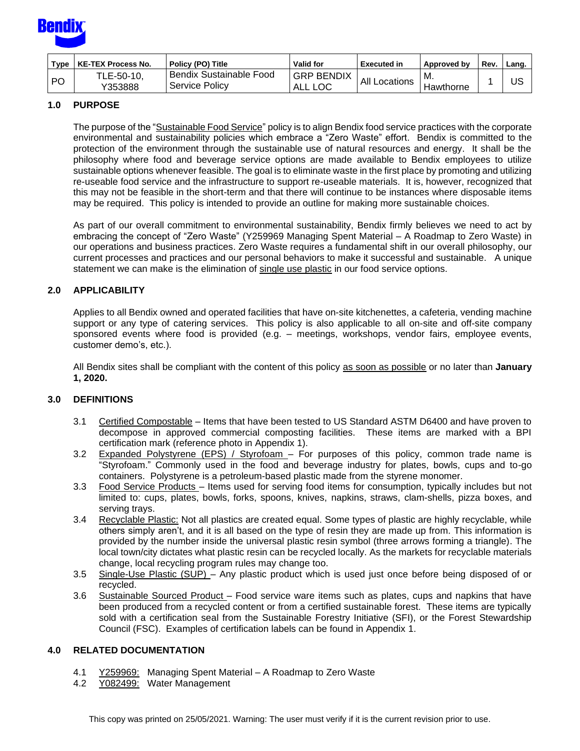

| Type      | <b>KE-TEX Process No.</b> | Policy (PO) Title                          | <b>Valid for</b>             | <b>Executed in</b> | Approved by | <b>Rev</b> | Lang. |
|-----------|---------------------------|--------------------------------------------|------------------------------|--------------------|-------------|------------|-------|
| <b>PO</b> | TLE-50-10,<br>Y353888     | 'Bendix Sustainable Food<br>Service Policv | <b>GRP BENDIX</b><br>ALL LOC | All Locations      | Hawthorne   |            | บร    |

#### **1.0 PURPOSE**

The purpose of the "Sustainable Food Service" policy is to align Bendix food service practices with the corporate environmental and sustainability policies which embrace a "Zero Waste" effort. Bendix is committed to the protection of the environment through the sustainable use of natural resources and energy. It shall be the philosophy where food and beverage service options are made available to Bendix employees to utilize sustainable options whenever feasible. The goal is to eliminate waste in the first place by promoting and utilizing re-useable food service and the infrastructure to support re-useable materials. It is, however, recognized that this may not be feasible in the short-term and that there will continue to be instances where disposable items may be required. This policy is intended to provide an outline for making more sustainable choices.

As part of our overall commitment to environmental sustainability, Bendix firmly believes we need to act by embracing the concept of "Zero Waste" (Y259969 Managing Spent Material – A Roadmap to Zero Waste) in our operations and business practices. Zero Waste requires a fundamental shift in our overall philosophy, our current processes and practices and our personal behaviors to make it successful and sustainable. A unique statement we can make is the elimination of single use plastic in our food service options.

#### **2.0 APPLICABILITY**

Applies to all Bendix owned and operated facilities that have on-site kitchenettes, a cafeteria, vending machine support or any type of catering services. This policy is also applicable to all on-site and off-site company sponsored events where food is provided (e.g. – meetings, workshops, vendor fairs, employee events, customer demo's, etc.).

All Bendix sites shall be compliant with the content of this policy as soon as possible or no later than **January 1, 2020.**

#### **3.0 DEFINITIONS**

- 3.1 Certified Compostable Items that have been tested to US Standard ASTM D6400 and have proven to decompose in approved commercial composting facilities. These items are marked with a BPI certification mark (reference photo in Appendix 1).
- 3.2 Expanded Polystyrene (EPS) / Styrofoam For purposes of this policy, common trade name is "Styrofoam." Commonly used in the food and beverage industry for plates, bowls, cups and to-go containers. Polystyrene is a petroleum-based plastic made from the styrene monomer.
- 3.3 Food Service Products Items used for serving food items for consumption, typically includes but not limited to: cups, plates, bowls, forks, spoons, knives, napkins, straws, clam-shells, pizza boxes, and serving trays.
- 3.4 Recyclable Plastic: Not all plastics are created equal. Some types of plastic are highly recyclable, while others simply aren't, and it is all based on the type of resin they are made up from. This information is provided by the number inside the universal plastic resin symbol (three arrows forming a triangle). The local town/city dictates what plastic resin can be recycled locally. As the markets for recyclable materials change, local recycling program rules may change too.
- 3.5 Single-Use Plastic (SUP) Any plastic product which is used just once before being disposed of or recycled.
- 3.6 Sustainable Sourced Product Food service ware items such as plates, cups and napkins that have been produced from a recycled content or from a certified sustainable forest. These items are typically sold with a certification seal from the Sustainable Forestry Initiative (SFI), or the Forest Stewardship Council (FSC). Examples of certification labels can be found in Appendix 1.

#### **4.0 RELATED DOCUMENTATION**

- 4.1 [Y259969:](http://a2wls.grp.knorr-bremse.com:3131/GetCVSPLMProcDoc.htm?id=Y259969&language=US) Managing Spent Material A Roadmap to Zero Waste
- 4.2 Y082499: Water Management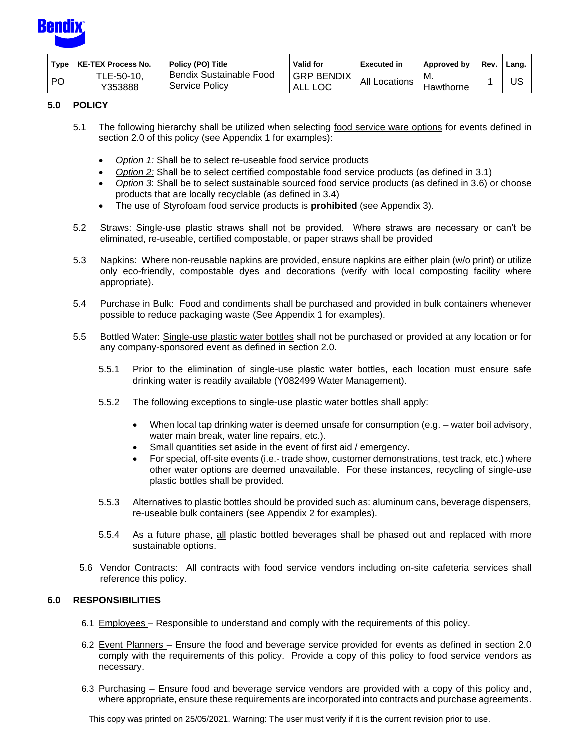

| Type | <b>KE-TEX Process No.</b> | Policy (PO) Title                                  | <b>Valid for</b>             | <b>Executed in</b> | Approved by | Rev | Lang. |
|------|---------------------------|----------------------------------------------------|------------------------------|--------------------|-------------|-----|-------|
| PO   | TLE-50-10,<br>Y353888     | l Bendix Sustainable Food<br><b>Service Policy</b> | <b>GRP BENDIX</b><br>ALL LOC | All<br>Locations   | Hawthorne   |     | บร    |

#### **5.0 POLICY**

- 5.1 The following hierarchy shall be utilized when selecting food service ware options for events defined in section 2.0 of this policy (see Appendix 1 for examples):
	- *Option 1:* Shall be to select re-useable food service products
	- *Option 2:* Shall be to select certified compostable food service products (as defined in 3.1)
	- *Option 3*: Shall be to select sustainable sourced food service products (as defined in 3.6) or choose products that are locally recyclable (as defined in 3.4)
	- The use of Styrofoam food service products is **prohibited** (see Appendix 3).
- 5.2 Straws: Single-use plastic straws shall not be provided. Where straws are necessary or can't be eliminated, re-useable, certified compostable, or paper straws shall be provided
- 5.3 Napkins: Where non-reusable napkins are provided, ensure napkins are either plain (w/o print) or utilize only eco-friendly, compostable dyes and decorations (verify with local composting facility where appropriate).
- 5.4 Purchase in Bulk: Food and condiments shall be purchased and provided in bulk containers whenever possible to reduce packaging waste (See Appendix 1 for examples).
- 5.5 Bottled Water: Single-use plastic water bottles shall not be purchased or provided at any location or for any company-sponsored event as defined in section 2.0.
	- 5.5.1 Prior to the elimination of single-use plastic water bottles, each location must ensure safe drinking water is readily available (Y082499 Water Management).
	- 5.5.2 The following exceptions to single-use plastic water bottles shall apply:
		- When local tap drinking water is deemed unsafe for consumption (e.g. water boil advisory, water main break, water line repairs, etc.).
		- Small quantities set aside in the event of first aid / emergency.
		- For special, off-site events (i.e.- trade show, customer demonstrations, test track, etc.) where other water options are deemed unavailable. For these instances, recycling of single-use plastic bottles shall be provided.
	- 5.5.3 Alternatives to plastic bottles should be provided such as: aluminum cans, beverage dispensers, re-useable bulk containers (see Appendix 2 for examples).
	- 5.5.4 As a future phase, all plastic bottled beverages shall be phased out and replaced with more sustainable options.
	- 5.6 Vendor Contracts: All contracts with food service vendors including on-site cafeteria services shall reference this policy.

#### **6.0 RESPONSIBILITIES**

- 6.1 Employees Responsible to understand and comply with the requirements of this policy.
- 6.2 Event Planners Ensure the food and beverage service provided for events as defined in section 2.0 comply with the requirements of this policy. Provide a copy of this policy to food service vendors as necessary.
- 6.3 Purchasing Ensure food and beverage service vendors are provided with a copy of this policy and, where appropriate, ensure these requirements are incorporated into contracts and purchase agreements.

This copy was printed on 25/05/2021. Warning: The user must verify if it is the current revision prior to use.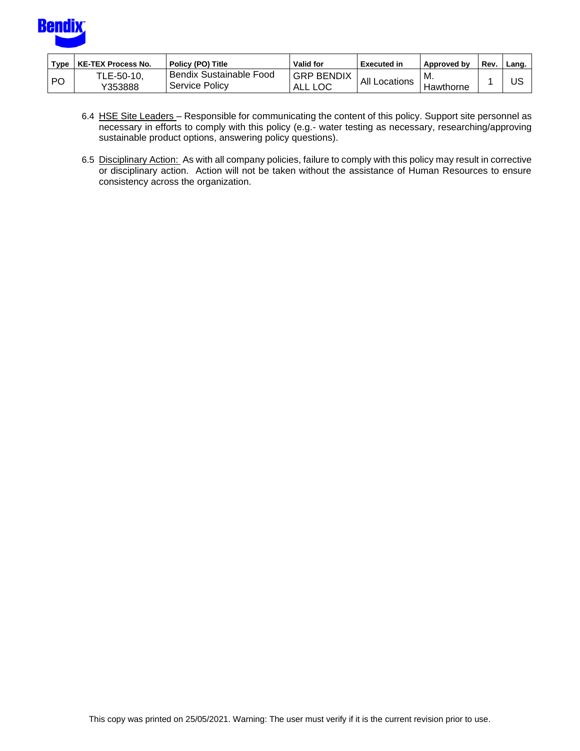

| $T$ ype | KE-TEX Process No.    | Policy (PO) Title                                | Valid for                 | <b>Executed in</b> | Approved by       | Rev | Lang. |
|---------|-----------------------|--------------------------------------------------|---------------------------|--------------------|-------------------|-----|-------|
| PO      | TLE-50-10,<br>Y353888 | <b>Bendix Sustainable Food</b><br>Service Policy | <b>GRP BENDIX</b><br>ALL. | All'<br>Locations  | - M.<br>Hawthorne |     | US    |

- 6.4 HSE Site Leaders Responsible for communicating the content of this policy. Support site personnel as necessary in efforts to comply with this policy (e.g.- water testing as necessary, researching/approving sustainable product options, answering policy questions).
- 6.5 Disciplinary Action: As with all company policies, failure to comply with this policy may result in corrective or disciplinary action. Action will not be taken without the assistance of Human Resources to ensure consistency across the organization.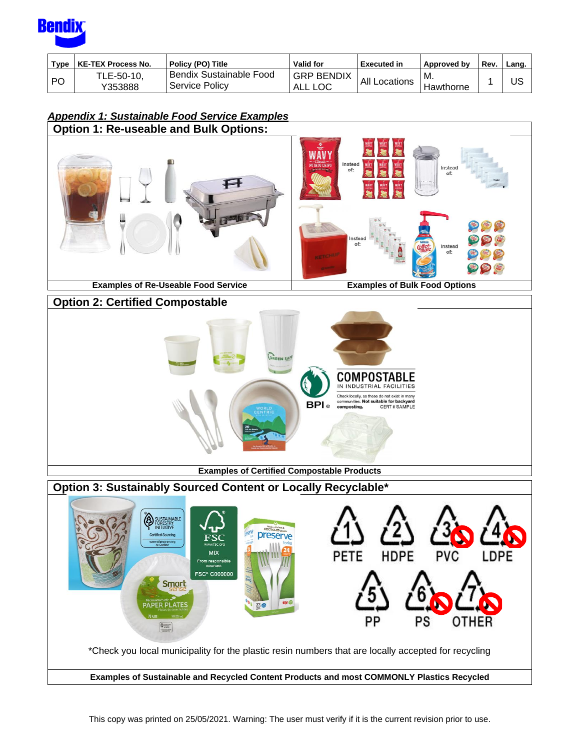

| Type | <b>KE-TEX Process No.</b> | Policy (PO) Title                                      | <b>Valid for</b>             | <b>Executed in</b>   | Approved by       | <b>Rev</b> | Lang. |
|------|---------------------------|--------------------------------------------------------|------------------------------|----------------------|-------------------|------------|-------|
| -PO  | TLE-50-10,<br>Y353888     | <sup>I</sup> Bendix Sustainable Food<br>Service Policy | <b>GRP BENDIX</b><br>ALL LOC | <b>All Locations</b> | ' M.<br>Hawthorne |            | US    |

## *Appendix 1: Sustainable Food Service Examples*

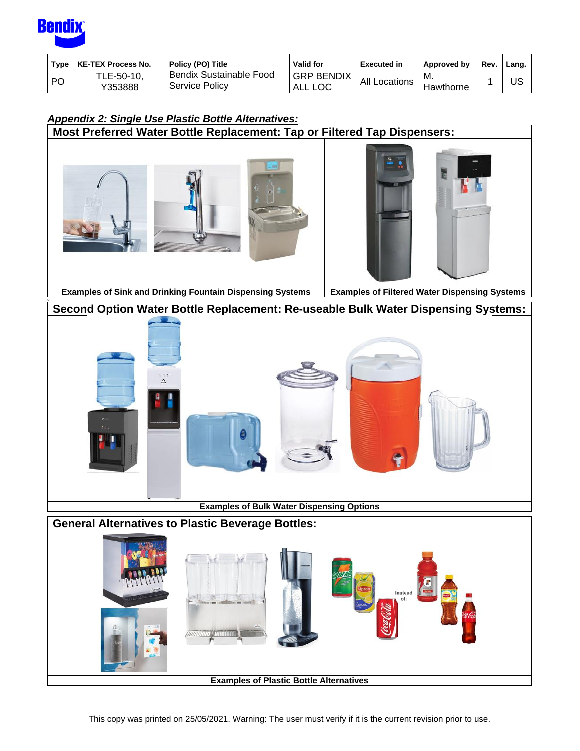

o

| <b>Type</b> | KE-TEX Process No.    | Policy (PO) Title                         | <b>Valid for</b>             | <b>Executed in</b> | Approved by      | Rev. | Lang. |
|-------------|-----------------------|-------------------------------------------|------------------------------|--------------------|------------------|------|-------|
| l PO        | TLE-50-10,<br>Y353888 | Bendix Sustainable Food<br>Service Policv | <b>GRP BENDIX</b><br>' ALL . | All Locations      | MM.<br>Hawthorne |      | บร    |

# *Appendix 2: Single Use Plastic Bottle Alternatives:*

**Most Preferred Water Bottle Replacement: Tap or Filtered Tap Dispensers:**







**Examples of Sink and Drinking Fountain Dispensing Systems Examples of Filtered Water Dispensing Systems**

## **Second Option Water Bottle Replacement: Re-useable Bulk Water Dispensing Systems:**



**Examples of Bulk Water Dispensing Options**

# **General Alternatives to Plastic Beverage Bottles:** Instead<br>of:

**Examples of Plastic Bottle Alternatives**